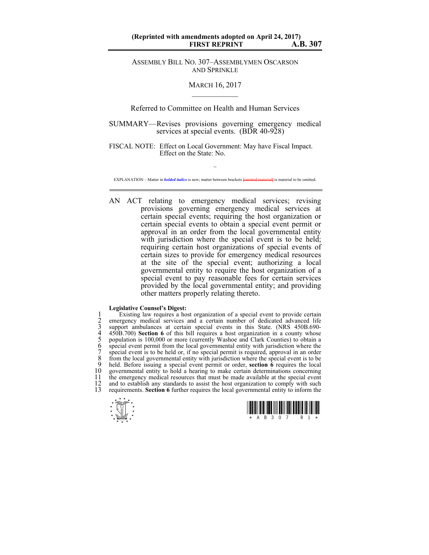## **(Reprinted with amendments adopted on April 24, 2017) FIRST REPRINT**

ASSEMBLY BILL NO. 307–ASSEMBLYMEN OSCARSON AND SPRINKLE

## MARCH 16, 2017  $\mathcal{L}_\text{max}$

Referred to Committee on Health and Human Services

SUMMARY—Revises provisions governing emergency medical services at special events. (BDR 40-928)

FISCAL NOTE: Effect on Local Government: May have Fiscal Impact. Effect on the State: No.

 $\sim$ EXPLANATION – Matter in *bolded italics* is new; matter between brackets **[**omitted material**]** is material to be omitted.

AN ACT relating to emergency medical services; revising provisions governing emergency medical services at certain special events; requiring the host organization or certain special events to obtain a special event permit or approval in an order from the local governmental entity with jurisdiction where the special event is to be held; requiring certain host organizations of special events of certain sizes to provide for emergency medical resources at the site of the special event; authorizing a local governmental entity to require the host organization of a special event to pay reasonable fees for certain services provided by the local governmental entity; and providing other matters properly relating thereto.

## **Legislative Counsel's Digest:**

1 Existing law requires a host organization of a special event to provide certain emergency medical services and a certain number of dedicated advanced life support ambulances at certain special events in this State. (NRS emergency medical services and a certain number of dedicated advanced life support ambulances at certain special events in this State. (NRS 450B.690-4 450B.700) **Section 6** of this bill requires a host organization in a county whose population is 100,000 or more (currently Washoe and Clark Counties) to obtain a special event permit from the local governmental entity with jurisdiction where the special event is to be held or, if no special permit is required, approval in an order 8 from the local governmental entity with jurisdiction where the special event is to be 9 held. Before issuing a special event permit or order **section 6** requires the local 9 held. Before issuing a special event permit or order, **section**  $\acute{o}$  requires the local 10 governmental entity to hold a hearing to make certain determinations concerning 10 governmental entity to hold a hearing to make certain determinations concerning<br>11 the emergency medical resources that must be made available at the special event 11 the emergency medical resources that must be made available at the special event 12 and to establish any standards to assist the host organization to comply with such 12 and to establish any standards to assist the host organization to comply with such 13 requirements **Section 6** further requires the local governmental entity to inform the 13 requirements. **Section 6** further requires the local governmental entity to inform the



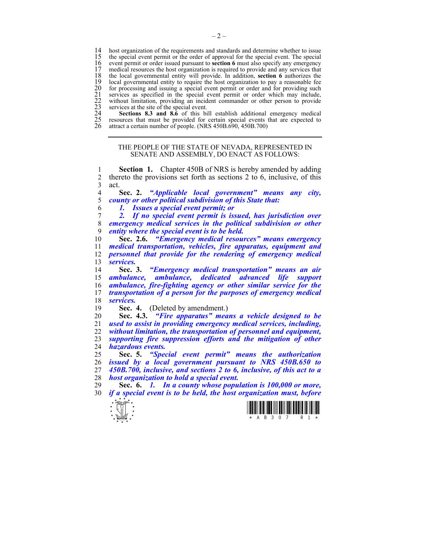14 host organization of the requirements and standards and determine whether to issue<br>15 the special event permit or the order of approval for the special event. The special 15 the special event permit or the order of approval for the special event. The special event permit or order issued pursuant to **section 6** must also specify any emergency 16 event permit or order issued pursuant to **section 6** must also specify any emergency 17 medical resources the host organization is required to provide and any services that 17 medical resources the host organization is required to provide and any services that 18 the local governmental entity will provide. In addition, **section 6** authorizes the 18 the local governmental entity will provide. In addition, **section 6** authorizes the 19 local governmental entity to require the host organization to pay a reasonable fee<br>
20 for processing and issuing a special event permit or order and for providing such<br>
21 services as specified in the special event per for processing and issuing a special event permit or order and for providing such 21 services as specified in the special event permit or order which may include, without limitation, providing an incident commander or other person to provide services at the site of the special event.

**Sections 8.3 and 8.6** of this bill establish additional emergency medical resources that must be provided for certain special events that are expected to attract a certain number of people. (NRS 450B.690, 450B.700)

## THE PEOPLE OF THE STATE OF NEVADA, REPRESENTED IN SENATE AND ASSEMBLY, DO ENACT AS FOLLOWS:

1 **Section 1.** Chapter 450B of NRS is hereby amended by adding 2 thereto the provisions set forth as sections 2 to 6, inclusive, of this  $\begin{array}{cc} 3 & \text{act.} \\ 4 & \text{9} \end{array}$ 

4 **Sec. 2.** *"Applicable local government" means any city,*  5 *county or other political subdivision of this State that:* 

6 *1. Issues a special event permit; or* 

7 *2. If no special event permit is issued, has jurisdiction over*  8 *emergency medical services in the political subdivision or other*  entity where the special event is to be held.

**Sec. 2.6.** *"Emergency medical resources" means emergency medical transportation, vehicles, fire apparatus, equipment and personnel that provide for the rendering of emergency medical services.*

**Sec. 3.** *"Emergency medical transportation" means an air ambulance, ambulance, dedicated advanced life support ambulance, fire-fighting agency or other similar service for the transportation of a person for the purposes of emergency medical services.*

Sec. 4. (Deleted by amendment.)

**Sec. 4.3.** *"Fire apparatus" means a vehicle designed to be used to assist in providing emergency medical services, including,*  without limitation, the transportation of personnel and equipment, *supporting fire suppression efforts and the mitigation of other hazardous events.* 

**Sec. 5.** *"Special event permit" means the authorization issued by a local government pursuant to NRS 450B.650 to 450B.700, inclusive, and sections 2 to 6, inclusive, of this act to a host organization to hold a special event.* 

29 **Sec. 6.** *1. In a county whose population is 100,000 or more,*  30 *if a special event is to be held, the host organization must, before* 



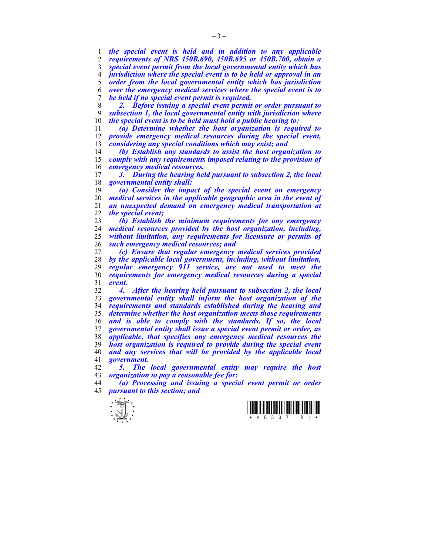*the special event is held and in addition to any applicable requirements of NRS 450B.690, 450B.695 or 450B.700, obtain a special event permit from the local governmental entity which has jurisdiction where the special event is to be held or approval in an order from the local governmental entity which has jurisdiction over the emergency medical services where the special event is to be held if no special event permit is required.* 

*2. Before issuing a special event permit or order pursuant to subsection 1, the local governmental entity with jurisdiction where*  the special event is to be held must hold a public hearing to:

*(a) Determine whether the host organization is required to provide emergency medical resources during the special event, considering any special conditions which may exist; and* 

*(b) Establish any standards to assist the host organization to comply with any requirements imposed relating to the provision of emergency medical resources.* 

*3. During the hearing held pursuant to subsection 2, the local governmental entity shall:* 

*(a) Consider the impact of the special event on emergency medical services in the applicable geographic area in the event of an unexpected demand on emergency medical transportation at the special event;* 

*(b) Establish the minimum requirements for any emergency medical resources provided by the host organization, including, without limitation, any requirements for licensure or permits of such emergency medical resources; and* 

*(c) Ensure that regular emergency medical services provided by the applicable local government, including, without limitation, regular emergency 911 service, are not used to meet the requirements for emergency medical resources during a special event.* 

*4. After the hearing held pursuant to subsection 2, the local governmental entity shall inform the host organization of the requirements and standards established during the hearing and determine whether the host organization meets those requirements and is able to comply with the standards. If so, the local governmental entity shall issue a special event permit or order, as applicable, that specifies any emergency medical resources the host organization is required to provide during the special event and any services that will be provided by the applicable local government.* 

*5. The local governmental entity may require the host organization to pay a reasonable fee for:* 

*(a) Processing and issuing a special event permit or order pursuant to this section; and* 



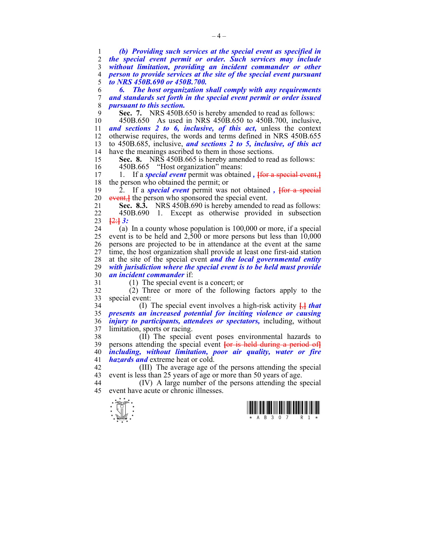1 *(b) Providing such services at the special event as specified in*  2 *the special event permit or order. Such services may include*  3 *without limitation, providing an incident commander or other*  4 *person to provide services at the site of the special event pursuant*  5 *to NRS 450B.690 or 450B.700.*  6 *6. The host organization shall comply with any requirements*  7 *and standards set forth in the special event permit or order issued*  8 *pursuant to this section.*  9 **Sec. 7.** NRS 450B.650 is hereby amended to read as follows: 10 450B.650 As used in NRS 450B.650 to 450B.700, inclusive, 11 *and sections 2 to 6, inclusive, of this act,* unless the context 12 otherwise requires, the words and terms defined in NRS 450B.655 13 to 450B.685, inclusive, *and sections 2 to 5, inclusive, of this act* 14 have the meanings ascribed to them in those sections. 15 **Sec. 8.** NRS 450B.665 is hereby amended to read as follows: 16 450B.665 "Host organization" means: 17 1. If a *special event* permit was obtained, from a special event, 18 the person who obtained the permit; or 19 2. If a *special event* permit was not obtained *,* **[**for a special 20 event<sub>s</sub> the person who sponsored the special event. 21 **Sec. 8.3.** NRS 450B.690 is hereby amended to read as follows: 22 450B.690 1. Except as otherwise provided in subsection 23 **[**2:**]** *3:* 24 (a) In a county whose population is 100,000 or more, if a special 25 event is to be held and 2,500 or more persons but less than 10,000 26 persons are projected to be in attendance at the event at the same 27 time, the host organization shall provide at least one first-aid station 28 at the site of the special event *and the local governmental entity*  29 *with jurisdiction where the special event is to be held must provide*  30 *an incident commander* if: 31 (1) The special event is a concert; or 32 (2) Three or more of the following factors apply to the 33 special event: 34 (I) The special event involves a high-risk activity **[**,**]** *that*  35 *presents an increased potential for inciting violence or causing*  36 *injury to participants, attendees or spectators,* including, without 37 limitation, sports or racing. 38 (II) The special event poses environmental hazards to 39 persons attending the special event **[**or is held during a period of**]** 40 *including, without limitation, poor air quality, water or fire*  41 *hazards and* extreme heat or cold. 42 (III) The average age of the persons attending the special 43 event is less than 25 years of age or more than 50 years of age. 44 (IV) A large number of the persons attending the special 45 event have acute or chronic illnesses.



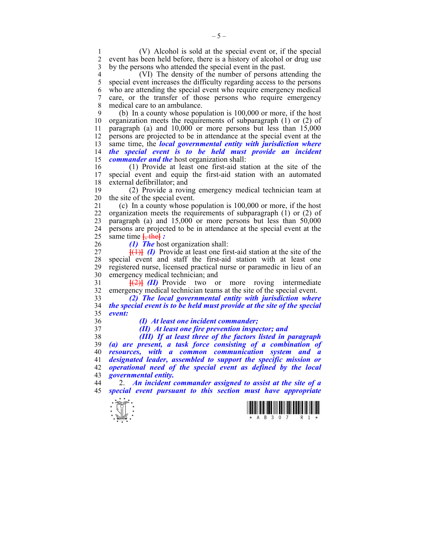1 (V) Alcohol is sold at the special event or, if the special 2 event has been held before, there is a history of alcohol or drug use 3 by the persons who attended the special event in the past.

4 (VI) The density of the number of persons attending the 5 special event increases the difficulty regarding access to the persons 5 special event increases the difficulty regarding access to the persons 6 who are attending the special event who require emergency medical 7 care, or the transfer of those persons who require emergency 8 medical care to an ambulance.

9 (b) In a county whose population is 100,000 or more, if the host 10 organization meets the requirements of subparagraph  $(1)$  or  $(2)$  of organization meets the requirements of subparagraph  $(1)$  or  $(2)$  of 11 paragraph (a) and 10,000 or more persons but less than 15,000 12 persons are projected to be in attendance at the special event at the 13 same time, the *local governmental entity with jurisdiction where*  14 *the special event is to be held must provide an incident*  15 *commander and the* host organization shall:

16 (1) Provide at least one first-aid station at the site of the special event and equip the first-aid station with an automated 18 external defibrillator; and

19 (2) Provide a roving emergency medical technician team at 20 the site of the special event.

21 (c) In a county whose population is 100,000 or more, if the host 22 organization meets the requirements of subparagraph (1) or (2) of 23 paragraph (a) and 15,000 or more persons but less than 50,000 24 persons are projected to be in attendance at the special event at the 25 same time **[**, the**]** *:* 

26 *(1) The* host organization shall:

27  $[(1)]$  *(I)* Provide at least one first-aid station at the site of the 28 special event and staff the first-aid station with at least one 29 registered nurse, licensed practical nurse or paramedic in lieu of an 30 emergency medical technician; and

31 **[**(2)**]** *(II)* Provide two or more roving intermediate 32 emergency medical technician teams at the site of the special event.

33 *(2) The local governmental entity with jurisdiction where*  34 *the special event is to be held must provide at the site of the special*  35 *event:* 

36 *(I) At least one incident commander;* 

37 *(II) At least one fire prevention inspector; and* 

*(III) If at least three of the factors listed in paragraph (a) are present, a task force consisting of a combination of resources, with a common communication system and a designated leader, assembled to support the specific mission or operational need of the special event as defined by the local governmental entity.* 

44 2. *An incident commander assigned to assist at the site of a*  45 *special event pursuant to this section must have appropriate*